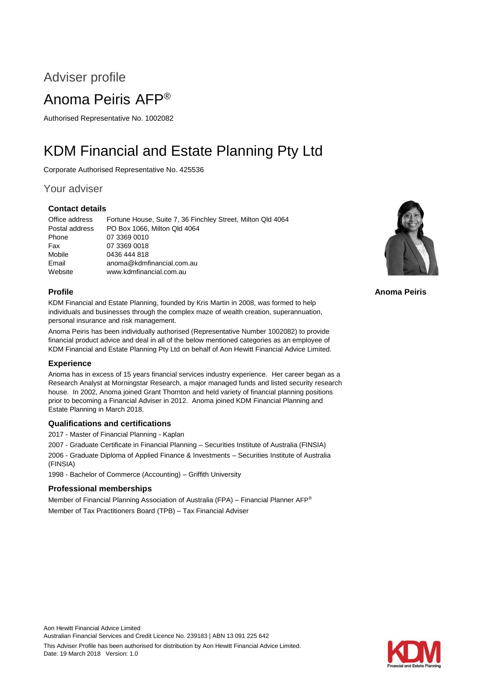## Adviser profile

## Anoma Peiris AFP®

Authorised Representative No. 1002082

# KDM Financial and Estate Planning Pty Ltd

Corporate Authorised Representative No. 425536

### Your adviser

### **Contact details**

Office address Fortune House, Suite 7, 36 Finchley Street, Milton Qld 4064 Postal address PO Box 1066, Milton Qld 4064 Phone 07 3369 0010 Fax 07 3369 0018 Mobile 0436 444 818 Email anoma@kdmfinancial.com.au Website www.kdmfinancial.com.au

### **Profile**

KDM Financial and Estate Planning, founded by Kris Martin in 2008, was formed to help individuals and businesses through the complex maze of wealth creation, superannuation, personal insurance and risk management.

Anoma Peiris has been individually authorised (Representative Number 1002082) to provide financial product advice and deal in all of the below mentioned categories as an employee of KDM Financial and Estate Planning Pty Ltd on behalf of Aon Hewitt Financial Advice Limited.

### **Experience**

Anoma has in excess of 15 years financial services industry experience. Her career began as a Research Analyst at Morningstar Research, a major managed funds and listed security research house. In 2002, Anoma joined Grant Thornton and held variety of financial planning positions prior to becoming a Financial Adviser in 2012. Anoma joined KDM Financial Planning and Estate Planning in March 2018.

### **Qualifications and certifications**

2017 - Master of Financial Planning - Kaplan

2007 - Graduate Certificate in Financial Planning – Securities Institute of Australia (FINSIA)

2006 - Graduate Diploma of Applied Finance & Investments – Securities Institute of Australia (FINSIA)

1998 - Bachelor of Commerce (Accounting) – Griffith University

### **Professional memberships**

Member of Financial Planning Association of Australia (FPA) – Financial Planner AFP® Member of Tax Practitioners Board (TPB) – Tax Financial Adviser



**Anoma Peiris**